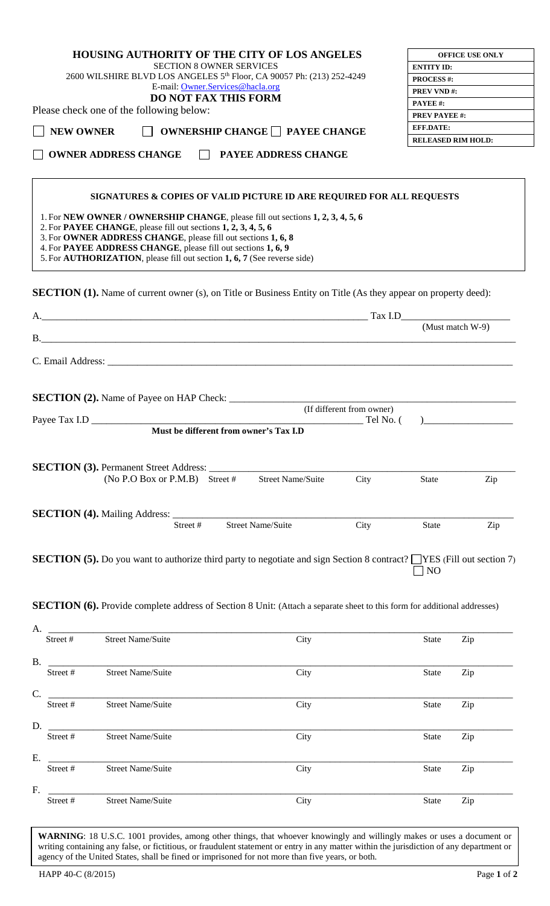|                  |                                                                                                                                                   | <b>HOUSING AUTHORITY OF THE CITY OF LOS ANGELES</b>                                                                                |                                        |                           | <b>OFFICE USE ONLY</b>                                                                                            |
|------------------|---------------------------------------------------------------------------------------------------------------------------------------------------|------------------------------------------------------------------------------------------------------------------------------------|----------------------------------------|---------------------------|-------------------------------------------------------------------------------------------------------------------|
|                  |                                                                                                                                                   | <b>SECTION 8 OWNER SERVICES</b>                                                                                                    |                                        | <b>ENTITY ID:</b>         |                                                                                                                   |
|                  |                                                                                                                                                   | 2600 WILSHIRE BLVD LOS ANGELES 5 <sup>th</sup> Floor, CA 90057 Ph: (213) 252-4249                                                  |                                        | <b>PROCESS#:</b>          |                                                                                                                   |
|                  |                                                                                                                                                   | E-mail: Owner.Services@hacla.org                                                                                                   |                                        | <b>PREV VND#:</b>         |                                                                                                                   |
|                  |                                                                                                                                                   | <b>DO NOT FAX THIS FORM</b>                                                                                                        |                                        | PAYEE#:                   |                                                                                                                   |
|                  | Please check one of the following below:                                                                                                          |                                                                                                                                    |                                        | <b>PREV PAYEE #:</b>      |                                                                                                                   |
| <b>NEW OWNER</b> |                                                                                                                                                   | $\Box$ OWNERSHIP CHANGE $\Box$ PAYEE CHANGE                                                                                        |                                        | <b>EFF.DATE:</b>          |                                                                                                                   |
|                  |                                                                                                                                                   |                                                                                                                                    |                                        | <b>RELEASED RIM HOLD:</b> |                                                                                                                   |
|                  | <b>OWNER ADDRESS CHANGE</b>                                                                                                                       | <b>NO PAYEE ADDRESS CHANGE</b>                                                                                                     |                                        |                           |                                                                                                                   |
|                  |                                                                                                                                                   | SIGNATURES & COPIES OF VALID PICTURE ID ARE REQUIRED FOR ALL REQUESTS                                                              |                                        |                           |                                                                                                                   |
|                  | 2. For PAYEE CHANGE, please fill out sections 1, 2, 3, 4, 5, 6<br>3. For OWNER ADDRESS CHANGE, please fill out sections 1, 6, 8                   | 1. For NEW OWNER/OWNERSHIP CHANGE, please fill out sections 1, 2, 3, 4, 5, 6                                                       |                                        |                           |                                                                                                                   |
|                  | 4. For PAYEE ADDRESS CHANGE, please fill out sections 1, 6, 9<br>5. For <b>AUTHORIZATION</b> , please fill out section 1, 6, 7 (See reverse side) |                                                                                                                                    |                                        |                           |                                                                                                                   |
|                  |                                                                                                                                                   | <b>SECTION (1).</b> Name of current owner (s), on Title or Business Entity on Title (As they appear on property deed):             |                                        |                           |                                                                                                                   |
|                  |                                                                                                                                                   |                                                                                                                                    |                                        |                           |                                                                                                                   |
|                  |                                                                                                                                                   |                                                                                                                                    |                                        |                           | (Must match W-9)                                                                                                  |
|                  |                                                                                                                                                   |                                                                                                                                    |                                        |                           |                                                                                                                   |
|                  |                                                                                                                                                   |                                                                                                                                    |                                        |                           |                                                                                                                   |
|                  |                                                                                                                                                   |                                                                                                                                    |                                        |                           |                                                                                                                   |
|                  | <b>SECTION (2).</b> Name of Payee on HAP Check:                                                                                                   |                                                                                                                                    | (If different from owner)<br>Tel No. ( |                           |                                                                                                                   |
| Payee Tax I.D    |                                                                                                                                                   | Must be different from owner's Tax I.D                                                                                             |                                        |                           | $\begin{tabular}{ c c c c } \hline \quad \quad & \quad \quad & \quad \quad & \quad \quad \\ \hline \end{tabular}$ |
|                  |                                                                                                                                                   |                                                                                                                                    |                                        |                           |                                                                                                                   |
|                  | <b>SECTION (3).</b> Permanent Street Address: _____                                                                                               |                                                                                                                                    |                                        |                           |                                                                                                                   |
|                  | $(No P.O Box or P.M.B)$ Street #                                                                                                                  | <b>Street Name/Suite</b>                                                                                                           | City                                   | <b>State</b>              | Zip                                                                                                               |
|                  |                                                                                                                                                   |                                                                                                                                    |                                        |                           |                                                                                                                   |
|                  |                                                                                                                                                   |                                                                                                                                    |                                        |                           |                                                                                                                   |
|                  | <b>SECTION (4).</b> Mailing Address:                                                                                                              |                                                                                                                                    |                                        |                           |                                                                                                                   |
|                  | Street#                                                                                                                                           | <b>Street Name/Suite</b>                                                                                                           | City                                   | <b>State</b>              | Zip                                                                                                               |
|                  |                                                                                                                                                   |                                                                                                                                    |                                        |                           |                                                                                                                   |
|                  |                                                                                                                                                   | <b>SECTION</b> (5). Do you want to authorize third party to negotiate and sign Section 8 contract? $\Box$ YES (Fill out section 7) |                                        | N <sub>O</sub>            |                                                                                                                   |
|                  |                                                                                                                                                   | <b>SECTION</b> (6). Provide complete address of Section 8 Unit: (Attach a separate sheet to this form for additional addresses)    |                                        |                           |                                                                                                                   |
|                  |                                                                                                                                                   |                                                                                                                                    |                                        |                           |                                                                                                                   |
|                  |                                                                                                                                                   |                                                                                                                                    |                                        |                           |                                                                                                                   |
| Street#          | <b>Street Name/Suite</b>                                                                                                                          | City                                                                                                                               |                                        | State                     | Zip                                                                                                               |
|                  |                                                                                                                                                   |                                                                                                                                    |                                        |                           |                                                                                                                   |
|                  |                                                                                                                                                   |                                                                                                                                    |                                        |                           |                                                                                                                   |
| Street#          | <b>Street Name/Suite</b>                                                                                                                          | City                                                                                                                               |                                        | State                     | Zip                                                                                                               |
| B.<br>C.         |                                                                                                                                                   |                                                                                                                                    |                                        |                           |                                                                                                                   |
| Street#          | <b>Street Name/Suite</b>                                                                                                                          | City                                                                                                                               |                                        | State                     | Zip                                                                                                               |

Street # Street Name/Suite City City State Zip E. \_\_\_\_\_\_\_\_\_\_\_\_\_\_\_\_\_\_\_\_\_\_\_\_\_\_\_\_\_\_\_\_\_\_\_\_\_\_\_\_\_\_\_\_\_\_\_\_\_\_\_\_\_\_\_\_\_\_\_\_\_\_\_\_\_\_\_\_\_\_\_\_\_\_\_\_\_\_\_\_\_\_\_\_\_\_\_\_\_\_\_\_\_\_ Street # Street Name/Suite City City State Zip F. \_\_\_\_\_\_\_\_\_\_\_\_\_\_\_\_\_\_\_\_\_\_\_\_\_\_\_\_\_\_\_\_\_\_\_\_\_\_\_\_\_\_\_\_\_\_\_\_\_\_\_\_\_\_\_\_\_\_\_\_\_\_\_\_\_\_\_\_\_\_\_\_\_\_\_\_\_\_\_\_\_\_\_\_\_\_\_\_\_\_\_\_\_\_ Street # Street Name/Suite City City State Zip

**WARNING**: 18 U.S.C. 1001 provides, among other things, that whoever knowingly and willingly makes or uses a document or writing containing any false, or fictitious, or fraudulent statement or entry in any matter within th writing containing any false, or fictitious, or fraudulent statement or entry in any matter within the jurisdiction of any department or agency of the United States, shall be fined or imprisoned for not more than five years, or both.

**OFFICE USE ONLY**

 $\lceil$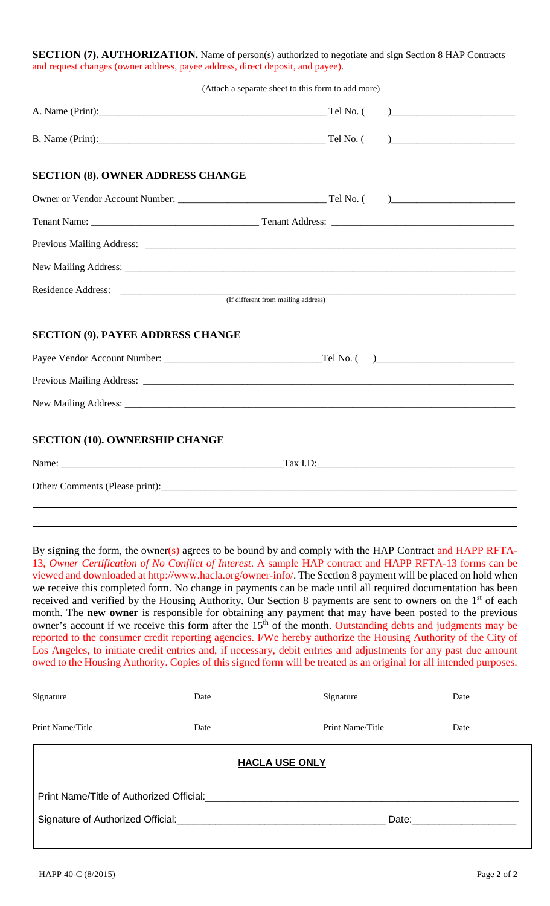| <b>SECTION (7). AUTHORIZATION.</b> Name of person(s) authorized to negotiate and sign Section 8 HAP Contracts |
|---------------------------------------------------------------------------------------------------------------|
| and request changes (owner address, payee address, direct deposit, and payee).                                |

|                                          | (Attach a separate sheet to this form to add more)                                                                                                                                                                                                                                                                                                                                                    |
|------------------------------------------|-------------------------------------------------------------------------------------------------------------------------------------------------------------------------------------------------------------------------------------------------------------------------------------------------------------------------------------------------------------------------------------------------------|
| A. Name (Print): Tel No. (               | $\begin{picture}(20,10) \put(0,0){\dashbox{0.5}(5,0){ }} \put(15,0){\circle{1}} \put(25,0){\circle{1}} \put(35,0){\circle{1}} \put(45,0){\circle{1}} \put(55,0){\circle{1}} \put(55,0){\circle{1}} \put(55,0){\circle{1}} \put(55,0){\circle{1}} \put(55,0){\circle{1}} \put(55,0){\circle{1}} \put(55,0){\circle{1}} \put(55,0){\circle{1}} \put(55,0){\circle{1}} \put(55,0){\circle{1}} \put(55,0$ |
| B. Name (Print): Tel No. (               |                                                                                                                                                                                                                                                                                                                                                                                                       |
| <b>SECTION (8). OWNER ADDRESS CHANGE</b> |                                                                                                                                                                                                                                                                                                                                                                                                       |
|                                          |                                                                                                                                                                                                                                                                                                                                                                                                       |
|                                          |                                                                                                                                                                                                                                                                                                                                                                                                       |
|                                          |                                                                                                                                                                                                                                                                                                                                                                                                       |
|                                          |                                                                                                                                                                                                                                                                                                                                                                                                       |
|                                          | (If different from mailing address)                                                                                                                                                                                                                                                                                                                                                                   |
| <b>SECTION (9). PAYEE ADDRESS CHANGE</b> |                                                                                                                                                                                                                                                                                                                                                                                                       |
|                                          |                                                                                                                                                                                                                                                                                                                                                                                                       |
|                                          |                                                                                                                                                                                                                                                                                                                                                                                                       |
|                                          |                                                                                                                                                                                                                                                                                                                                                                                                       |
| <b>SECTION (10). OWNERSHIP CHANGE</b>    |                                                                                                                                                                                                                                                                                                                                                                                                       |
|                                          |                                                                                                                                                                                                                                                                                                                                                                                                       |
|                                          |                                                                                                                                                                                                                                                                                                                                                                                                       |

By signing the form, the owner(s) agrees to be bound by and comply with the HAP Contract and HAPP RFTA-13, *Owner Certification of No Conflict of Interest*. A sample HAP contract and HAPP RFTA-13 forms can be viewed and downloaded at http://www.hacla.org/owner-info/. The Section 8 payment will be placed on hold when we receive this completed form. No change in payments can be made until all required documentation has been received and verified by the Housing Authority. Our Section 8 payments are sent to owners on the 1<sup>st</sup> of each month. The **new owner** is responsible for obtaining any payment that may have been posted to the previous owner's account if we receive this form after the 15<sup>th</sup> of the month. Outstanding debts and judgments may be reported to the consumer credit reporting agencies. I/We hereby authorize the Housing Authority of the City of Los Angeles, to initiate credit entries and, if necessary, debit entries and adjustments for any past due amount owed to the Housing Authority. Copies of this signed form will be treated as an original for all intended purposes.

| Signature                                | Date | Signature             | Date |  |
|------------------------------------------|------|-----------------------|------|--|
| Print Name/Title                         | Date | Print Name/Title      | Date |  |
|                                          |      | <b>HACLA USE ONLY</b> |      |  |
| Print Name/Title of Authorized Official: |      |                       |      |  |
| Signature of Authorized Official:        |      | Date:                 |      |  |
|                                          |      |                       |      |  |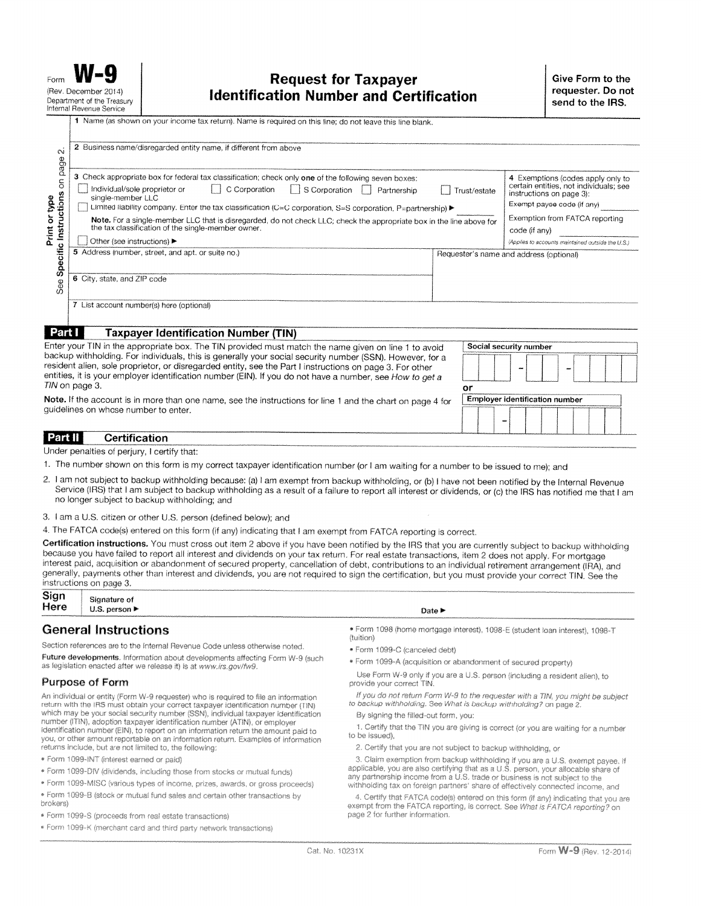|                                                                                                                                                                                                                      | 1 Name (as shown on your income tax return). Name is required on this line; do not leave this line blank.                                                                                                   |                                                                                                         |                                                 |  |
|----------------------------------------------------------------------------------------------------------------------------------------------------------------------------------------------------------------------|-------------------------------------------------------------------------------------------------------------------------------------------------------------------------------------------------------------|---------------------------------------------------------------------------------------------------------|-------------------------------------------------|--|
| $\sim$<br>page                                                                                                                                                                                                       | 2 Business name/disregarded entity name, if different from above                                                                                                                                            |                                                                                                         |                                                 |  |
| $\overline{5}$                                                                                                                                                                                                       | 3 Check appropriate box for federal tax classification; check only one of the following seven boxes:<br>Individual/sole proprietor or<br>C Corporation<br>S Corporation<br>Partnership<br>single-member LLC | 4 Exemptions (codes apply only to<br>certain entities, not individuals; see<br>instructions on page 3): |                                                 |  |
|                                                                                                                                                                                                                      | Limited liability company. Enter the tax classification (C=C corporation, S=S corporation, P=partnership) ▶                                                                                                 | Exempt payee code (if any)                                                                              |                                                 |  |
| Specific Instructions<br>Print or type                                                                                                                                                                               | Note. For a single-member LLC that is disregarded, do not check LLC; check the appropriate box in the line above for<br>the tax classification of the single-member owner.                                  |                                                                                                         | Exemption from FATCA reporting<br>code (if any) |  |
|                                                                                                                                                                                                                      | Other (see instructions) ▶                                                                                                                                                                                  | (Applies to accounts maintained outside the U.S.)                                                       |                                                 |  |
|                                                                                                                                                                                                                      | 5 Address (number, street, and apt. or suite no.)                                                                                                                                                           |                                                                                                         | Requester's name and address (optional)         |  |
|                                                                                                                                                                                                                      |                                                                                                                                                                                                             |                                                                                                         |                                                 |  |
| See                                                                                                                                                                                                                  | 6 City, state, and ZIP code                                                                                                                                                                                 |                                                                                                         |                                                 |  |
|                                                                                                                                                                                                                      | 7 List account number(s) here (optional)                                                                                                                                                                    |                                                                                                         |                                                 |  |
|                                                                                                                                                                                                                      |                                                                                                                                                                                                             |                                                                                                         |                                                 |  |
| Part I                                                                                                                                                                                                               | <b>Taxpayer Identification Number (TIN)</b>                                                                                                                                                                 |                                                                                                         |                                                 |  |
| Enter your TIN in the appropriate box. The TIN provided must match the name given on line 1 to avoid                                                                                                                 |                                                                                                                                                                                                             |                                                                                                         | Social security number                          |  |
| backup withholding. For individuals, this is generally your social security number (SSN). However, for a<br>resident alien, sole proprietor, or disregarded entity, see the Part I instructions on page 3. For other |                                                                                                                                                                                                             |                                                                                                         |                                                 |  |
| entities, it is your employer identification number (EIN). If you do not have a number, see How to get a<br>TIN on page 3.                                                                                           |                                                                                                                                                                                                             |                                                                                                         |                                                 |  |
| or                                                                                                                                                                                                                   |                                                                                                                                                                                                             |                                                                                                         | Employer identification number                  |  |
|                                                                                                                                                                                                                      | Note. If the account is in more than one name, see the instructions for line 1 and the chart on page 4 for<br>guidelines on whose number to enter.                                                          |                                                                                                         |                                                 |  |
|                                                                                                                                                                                                                      |                                                                                                                                                                                                             |                                                                                                         |                                                 |  |
| Part II                                                                                                                                                                                                              | <b>Certification</b>                                                                                                                                                                                        |                                                                                                         |                                                 |  |
|                                                                                                                                                                                                                      |                                                                                                                                                                                                             |                                                                                                         |                                                 |  |

Under penalties of perjury, I certify that:

- 1. The number shown on this form is my correct taxpayer identification number (or I am waiting for a number to be issued to me); and
- 2. I am not subject to backup withholding because: (a) I am exempt from backup withholding, or (b) I have not been notified by the Internal Revenue Service (IRS) that I am subject to backup withholding as a result of a failure to report all interest or dividends, or (c) the IRS has notified me that I am no longer subject to backup withholding; and
- 3. I am a U.S. citizen or other U.S. person (defined below); and

4. The FATCA code(s) entered on this form (if any) indicating that I am exempt from FATCA reporting is correct.

Certification instructions. You must cross out item 2 above if you have been notified by the IRS that you are currently subject to backup withholding because you have failed to report all interest and dividends on your tax return. For real estate transactions, item 2 does not apply. For mortgage interest paid, acquisition or abandonment of secured property, cancellation of debt, contributions to an individual retirement arrangement (IRA), and generally, payments other than interest and dividends, you are not required to sign the certification, but you must provide your correct TIN. See the instructions on page 3.

# **General Instructions**

Section references are to the Internal Revenue Code unless otherwise noted. Future developments. Information about developments affecting Form W-9 (such as legislation enacted after we release it) is at www.irs.gov/fw9.

## **Purpose of Form**

An individual or entity (Form W-9 requester) who is required to file an information return with the IRS must obtain your correct taxpayer identification number (TIN) which may be your social security number (SSN), individual taxpayer identification number (ITIN), adoption taxpayer identification number (ATIN), or employer identification number (EIN), to report on an information return the amount paid to you, or other amount reportable on an information return. Examples of information returns include, but are not limited to, the following:

- \* Form 1099-INT (interest earned or paid)
- · Form 1099-DIV (dividends, including those from stocks or mutual funds)
- \* Form 1099-MISC (various types of income, prizes, awards, or gross proceeds)
- · Form 1099-B (stock or mutual fund sales and certain other transactions by brokers)
- \* Form 1099-S (proceeds from real estate transactions)
- \* Form 1099-K (merchant card and third party network transactions)
- Date >
- \* Form 1098 (home mortgage interest), 1098-E (student loan interest), 1098-T (tuition)
- \* Form 1099-C (canceled debt)
- \* Form 1099-A (acquisition or abandonment of secured property)

Use Form W-9 only if you are a U.S. person (including a resident alien), to provide your correct TIN.

If you do not return Form W-9 to the requester with a TIN, you might be subject to backup withholding. See What is backup withholding? on page 2.

By signing the filled-out form, you:

1. Certify that the TIN you are giving is correct (or you are waiting for a number to be issued),

2. Certify that you are not subject to backup withholding, or

3. Claim exemption from backup withholding if you are a U.S. exempt payee. If applicable, you are also certifying that as a U.S. person, your allocable share of any partnership income from a U.S. trade or business is not subject to the withholding tax on foreign partners' share of effectively connected income, and

4. Certify that FATCA code(s) entered on this form (if any) indicating that you are exempt from the FATCA reporting, is correct. See What is FATCA reporting? on page 2 for further information.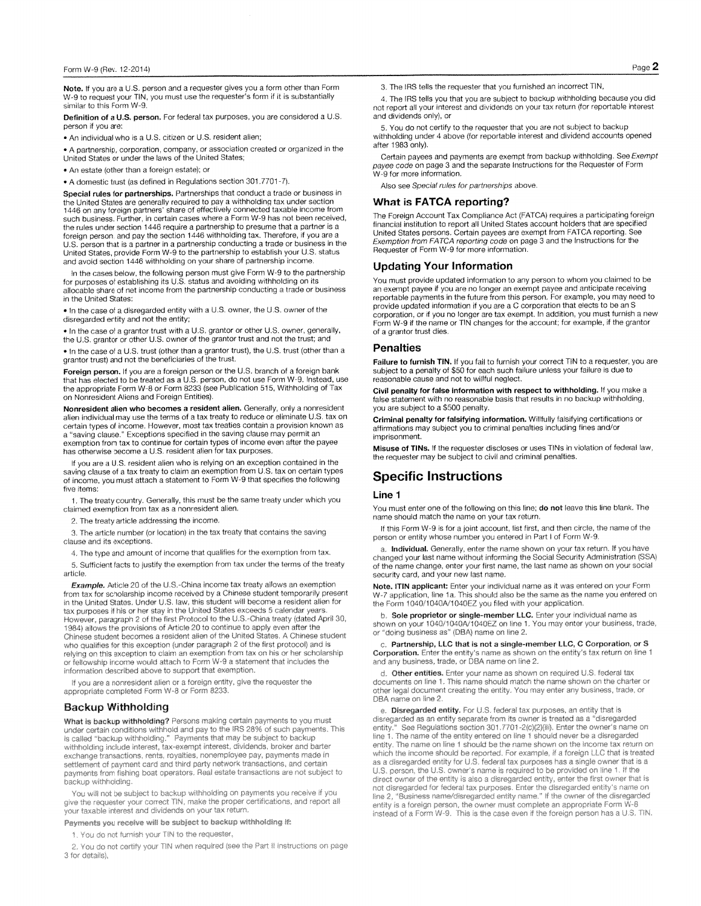Note. If you are a U.S. person and a requester gives you a form other than Form W-9 to request your TIN, you must use the requester's form if it is substantially similar to this Form W-9.

Definition of a U.S. person. For federal tax purposes, you are considered a U.S. person if you are:

. An individual who is a U.S. citizen or U.S. resident alien;

• A partnership, corporation, company, or association created or organized in the United States or under the laws of the United States;

• An estate (other than a foreign estate); or

• A domestic trust (as defined in Regulations section 301.7701-7).

Special rules for partnerships. Partnerships that conduct a trade or business in Special rules for particular specially required to pay a withholding tax under section<br>the United States are generally required to pay a withholding tax under section<br>1446 on any foreign partners' share of effectively conn foreign person, and pay the section 1446 withholding tax. Therefore, if you are a U.S. person that is a partner in a partnership conducting a trade or business in the United States, provide Form W-9 to the partnership to establish your U.S. status and avoid section 1446 withholding on your share of partnership income.

In the cases below, the following person must give Form W-9 to the partnership<br>for purposes of establishing its U.S. status and avoiding withholding on its allocable share of net income from the partnership conducting a trade or business in the United States:

. In the case of a disregarded entity with a U.S. owner, the U.S. owner of the disregarded entity and not the entity;

In the case of a grantor trust with a U.S. grantor or other U.S. owner, generally, the U.S. grantor or other U.S. owner of the grantor trust and not the trust; and

. In the case of a U.S. trust (other than a grantor trust), the U.S. trust (other than a grantor trust) and not the beneficiaries of the trust.

Foreign person. If you are a foreign person or the U.S. branch of a foreign bank<br>that has elected to be treated as a U.S. person, do not use Form W-9. Instead, use the appropriate Form W-8 or Form 8233 (see Publication 515, Withholding of Tax on Nonresident Aliens and Foreign Entities).

Nonresident alien who becomes a resident alien. Generally, only a nonresident alien individual may use the terms of a tax treaty to reduce or eliminate U.S. tax on certain types of income. However, most tax treaties contain a provision known as a "saving clause." Exceptions specified in the saving clause may permit an

examplion from tax to continue for certain types of income even after the payee<br>has otherwise become a U.S. resident alien for tax purposes.

If you are a U.S. resident alien who is relying on an exception contained in the saving clause of a tax treaty to claim an exemption from U.S. tax on certain types of income, you must attach a statement to Form W-9 that specifies the following five items

1. The treaty country. Generally, this must be the same treaty under which you claimed exemption from tax as a nonresident alien.

2. The treaty article addressing the income.

3. The article number (or location) in the tax treaty that contains the saving clause and its exceptions.

4. The type and amount of income that qualifies for the exemption from tax.

5. Sufficient facts to justify the exemption from tax under the terms of the treaty article

Example. Article 20 of the U.S.-China income tax treaty allows an exemption from tax for scholarship income received by a Chinese student temporarily present<br>in the United States. Under U.S. law, this student will become a resident alien for tax purposes if his or her stay in the United States exceeds 5 calendar years. However, paragraph 2 of the first Protocol to the U.S.-China treaty (dated April 30, 1984) allows the provisions of Article 20 to continue to apply even after the Chinese student becomes a resident alien of the United States. A Chinese student who qualifies for this exception (under paragraph 2 of the first protocol) and is relying on this exception to claim an exemption from tax on his or her scholarship or fellowship income would attach to Form W-9 a statement that includes the information described above to support that exemption.

If you are a nonresident alien or a foreign entity, give the requester the appropriate completed Form W-8 or Form 8233.

### **Backup Withholding**

What is backup withholding? Persons making certain payments to you must under certain conditions withhold and pay to the IRS 28% of such payments. This<br>is called "backup withholding." Payments that may be subject to backup<br>withholding include interest, tax-exempt interest, dividends, broker an with noting include the est, tax-exempt the est, university, payments made in<br>exchange transactions, rents, royalties, nonemployee pay, payments made in<br>settlement of payment card and third party network transactions, and payments from fishing boat operators. Real estate transactions are not subject to backup withholding.

You will not be subject to backup withholding on payments you receive if you give the requester your correct TIN, make the proper certifications, and report all your taxable interest and dividends on your tax return.

Payments you receive will be subject to backup withholding if:

1. You do not furnish your TIN to the requester,

2. You do not certify your TIN when required (see the Part II instructions on page 3 for details).

3. The IRS tells the requester that you furnished an incorrect TIN,

4. The IRS tells you that you are subject to backup withholding because you did not report all your interest and dividends on your tax return (for reportable interest and dividends only), or

5. You do not certify to the requester that you are not subject to backup withholding under 4 above (for reportable interest and dividend accounts opened after 1983 only).

Certain payees and payments are exempt from backup withholding. See Exempt payee code on page 3 and the separate Instructions for the Requester of Form<br>W-9 for more information.

Also see Special rules for partnerships above.

### **What is FATCA reporting?**

The Foreign Account Tax Compliance Act (FATCA) requires a participating foreign financial institution to report all United States account holders that are specified United States persons. Certain payees are exempt from FATCA reporting. See Exemption from FATCA reporting code on page 3 and the Instructions for the Requester of Form W-9 for more information.

#### **Updating Your Information**

You must provide updated information to any person to whom you claimed to be an exempt payee if you are no longer an exempt payee and anticipate receiving<br>reportable payments in the future from this person. For example, you may need to provide updated information if you are a C corporation that elects to be an S corporation, or if you no longer are tax exempt. In addition, you must furnish a new Form W-9 if the name or TIN changes for the account; for example, if the grantor of a grantor trust dies.

#### **Penalties**

Failure to furnish TIN. If you fail to furnish your correct TIN to a requester, you are subject to a penalty of \$50 for each such failure unless your failure is due to reasonable cause and not to willful neglect.

Civil penalty for false information with respect to withholding. If you make a false statement with no reasonable basis that results in no backup withholding, you are subject to a \$500 penalty.

Criminal penalty for falsifying information. Willfully falsifying certifications or affirmations may subject you to criminal penalties including fines and/or imprisonment.

Misuse of TINs. If the requester discloses or uses TINs in violation of federal law, the requester may be subject to civil and criminal penalties.

### **Specific Instructions**

#### Line 1

You must enter one of the following on this line; do not leave this line blank. The name should match the name on your tax return.

If this Form W-9 is for a joint account, list first, and then circle, the name of the person or entity whose number you entered in Part I of Form W-9.

a. Individual. Generally, enter the name shown on your tax return. If you have changed your last name without informing the Social Security Administration (SSA) of the name change, enter your first name, the last name as shown on your social security card, and your new last name.

Note. ITIN applicant: Enter your individual name as it was entered on your Form W-7 application, line 1a. This should also be the same as the name you entered on the Form 1040/1040A/1040EZ you filed with your application.

b. Sole proprietor or single-member LLC. Enter your individual name as shown on your 1040/1040A/1040EZ on line 1. You may enter your business, trade, or "doing business as" (DBA) name on line 2.

c. Partnership, LLC that is not a single-member LLC, C Corporation, or S Corporation. Enter the entity's name as shown on the entity's tax return on line 1 and any business, trade, or DBA name on line 2.

d. Other entities. Enter your name as shown on required U.S. federal tax documents on line 1. This name should match the name shown on the charter or other legal document creating the entity. You may enter any business, trade, or DBA name on line 2.

e. Disregarded entity. For U.S. federal tax purposes, an entity that is disregarded as an entity separate from its owner is treated as a "disregarded entity." See Regulations section 301.7701-2(c)(2)(iii). Enter the owner's name on line 1. The name of the entity entered on line 1 should never be a disregarded entity. The name on line 1 should be the name shown on the income tax return on which the income should be reported. For example, if a foreign LLC that is treated<br>as a disregarded entity for U.S. federal tax purposes has a single owner that is treated<br>U.S. person, the U.S. owner's name is required to direct owner of the entity is also a disregarded entity, enter the first owner that is not disregarded for federal tax purposes. Enter the disregarded entity's name on line 2, "Business name/disregarded entity name." If the owner of the disregarded entity is a foreign person, the owner must complete an appropriate Form W-8 instead of a Form W-9. This is the case even if the foreign person has a U.S. TIN.